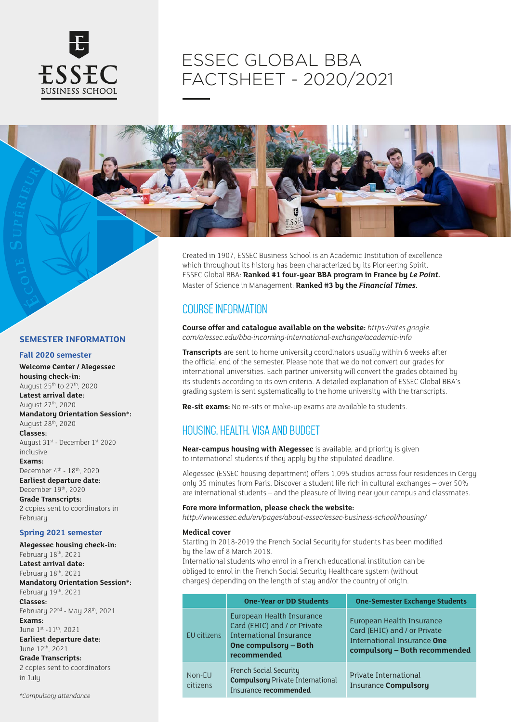

# ESSEC GLOBAL BBA FACTSHEET - 2020/2021



Created in 1907, ESSEC Business School is an Academic Institution of excellence which throughout its history has been characterized by its Pioneering Spirit. ESSEC Global BBA: **Ranked #1 four-year BBA program in France by** *Le Point.* Master of Science in Management: **Ranked #3 by the** *Financial Times.*

# Course information

**Course offer and catalogue available on the website:** *https://sites.google. com/a/essec.edu/bba-incoming-international-exchange/academic-info*

**Transcripts** are sent to home university coordinators usually within 6 weeks after the official end of the semester. Please note that we do not convert our grades for international universities. Each partner university will convert the grades obtained by its students according to its own criteria. A detailed explanation of ESSEC Global BBA's grading system is sent systematically to the home university with the transcripts.

**Re-sit exams:** No re-sits or make-up exams are available to students.

# Housing, health, visa and budget

**Near-campus housing with Alegessec** is available, and priority is given to international students if they apply by the stipulated deadline.

Alegessec (ESSEC housing department) offers 1,095 studios across four residences in Cergy only 35 minutes from Paris. Discover a student life rich in cultural exchanges – over 50% are international students – and the pleasure of living near your campus and classmates.

#### **Fore more information, please check the website:**

*http://www.essec.edu/en/pages/about-essec/essec-business-school/housing/*

#### **Medical cover**

Starting in 2018-2019 the French Social Security for students has been modified by the law of 8 March 2018.

International students who enrol in a French educational institution can be obliged to enrol in the French Social Security Healthcare system (without charges) depending on the length of stay and/or the country of origin.

|                    | <b>One-Year or DD Students</b>                                                                                               | <b>One-Semester Exchange Students</b>                                                                                     |
|--------------------|------------------------------------------------------------------------------------------------------------------------------|---------------------------------------------------------------------------------------------------------------------------|
| EU citizens        | European Health Insurance<br>Card (EHIC) and / or Private<br>International Insurance<br>One compulsory - Both<br>recommended | European Health Insurance<br>Card (EHIC) and / or Private<br>International Insurance One<br>compulsory - Both recommended |
| Non-EU<br>citizens | French Social Security<br><b>Compulsory Private International</b><br>Insurance recommended                                   | Private International<br><b>Insurance Compulsory</b>                                                                      |

## **SEMESTER INFORMATION**

### **Fall 2020 semester**

**Welcome Center / Alegessec housing check-in:** August 25th to 27th, 2020 **Latest arrival date:** August 27th, 2020 **Mandatory Orientation Session\*:** August 28th, 2020 **Classes:** August 31st - December 1st, 2020 inclusive **Exams:** December 4th - 18th, 2020 **Earliest departure date:** December 19<sup>th</sup>, 2020 **Grade Transcripts:** 2 copies sent to coordinators in February

## **Spring 2021 semester**

**Alegessec housing check-in:** Februaru 18th, 2021 **Latest arrival date:** February 18th, 2021 **Mandatory Orientation Session\*:** February 19th, 2021 **Classes:** February 22nd - May 28th, 2021 **Exams:** June 1st -11th, 2021 **Earliest departure date:** June 12th, 2021 **Grade Transcripts:** 2 copies sent to coordinators in July

*\*Compulsory attendance*